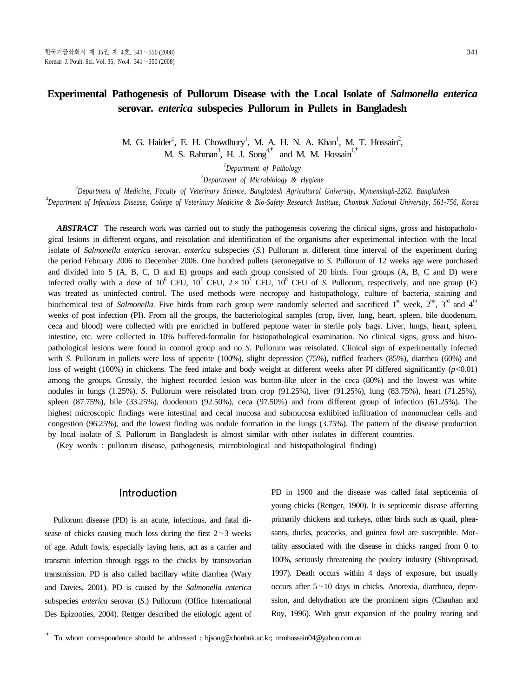# **Experimental Pathogenesis of Pullorum Disease with the Local Isolate of** *Salmonella enterica*  **serovar.** *enterica* **subspecies Pullorum in Pullets in Bangladesh**

M. G. Haider<sup>1</sup>, E. H. Chowdhury<sup>1</sup>, M. A. H. N. A. Khan<sup>1</sup>, M. T. Hossain<sup>2</sup>, M. S. Rahman<sup>3</sup>, H. J. Song<sup>4,†</sup> and M. M. Hossain<sup>1,†</sup>

*1 Department of Pathology*

*2 Department of Microbiology & Hygiene*

*3 Department of Medicine, Faculty of Veterinary Science, Bangladesh Agricultural University, Mymensingh-2202. Bangladesh*

*4 Department of Infectious Disease, College of Veterinary Medicine & Bio-Safety Research Institute, Chonbuk National University, 561-756, Korea* 

ABSTRACT The research work was carried out to study the pathogenesis covering the clinical signs, gross and histopathological lesions in different organs, and reisolation and identification of the organisms after experimental infection with the local isolate of *Salmonella enterica* serovar. *enterica* subspecies (*S*.) Pullorum at different time interval of the experiment during the period February 2006 to December 2006. One hundred pullets (seronegative to *S*. Pullorum of 12 weeks age were purchased and divided into 5 (A, B, C, D and E) groups and each group consisted of 20 birds. Four groups (A, B, C and D) were infected orally with a dose of  $10^6$  CFU,  $10^7$  CFU,  $2 \times 10^7$  CFU,  $10^8$  CFU of *S*. Pullorum, respectively, and one group (E) was treated as uninfected control. The used methods were necropsy and histopathology, culture of bacteria, staining and biochemical test of *Salmonella*. Five birds from each group were randomly selected and sacrificed  $1<sup>st</sup>$  week,  $2<sup>nd</sup>$ ,  $3<sup>rd</sup>$  and  $4<sup>th</sup>$ weeks of post infection (PI). From all the groups, the bacteriological samples (crop, liver, lung, heart, spleen, bile duodenum, ceca and blood) were collected with pre enriched in buffered peptone water in sterile poly bags. Liver, lungs, heart, spleen, intestine, etc. were collected in 10% buffered-formalin for histopathological examination. No clinical signs, gross and histopathological lesions were found in control group and no *S*. Pullorum was reisolated. Clinical sign of experimentally infected with *S*. Pullorum in pullets were loss of appetite (100%), slight depression (75%), ruffled feathers (85%), diarrhea (60%) and loss of weight (100%) in chickens. The feed intake and body weight at different weeks after PI differed significantly (*p<*0.01) among the groups. Grossly, the highest recorded lesion was button-like ulcer in the ceca (80%) and the lowest was white nodules in lungs (1.25%). *S*. Pullorum were reisolated from crop (91.25%), liver (91.25%), lung (83.75%), heart (71.25%), spleen (87.75%), bile (33.25%), duodenum (92.50%), ceca (97.50%) and from different group of infection (61.25%). The highest microscopic findings were intestinal and cecal mucosa and submucosa exhibited infiltration of mononuclear cells and congestion (96.25%), and the lowest finding was nodule formation in the lungs (3.75%). The pattern of the disease production by local isolate of *S*. Pullorum in Bangladesh is almost similar with other isolates in different countries.

(Key words : pullorum disease, pathogenesis, microbiological and histopathological finding)

# Introduction

Pullorum disease (PD) is an acute, infectious, and fatal disease of chicks causing much loss during the first  $2 \sim 3$  weeks of age. Adult fowls, especially laying hens, act as a carrier and transmit infection through eggs to the chicks by transovarian transmission. PD is also called bacillary white diarrhea (Wary and Davies, 2001). PD is caused by the *Salmonella enterica* subspecies *enterica* serovar (*S*.) Pullorum (Office International Des Epizooties, 2004). Rettger described the etiologic agent of PD in 1900 and the disease was called fatal septicemia of young chicks (Rettger, 1900). It is septicemic disease affecting primarily chickens and turkeys, other birds such as quail, pheasants, ducks, peacocks, and guinea fowl are susceptible. Mortality associated with the disease in chicks ranged from 0 to 100%, seriously threatening the poultry industry (Shivoprasad, 1997). Death occurs within 4 days of exposure, but usually occurs after  $5 \sim 10$  days in chicks. Anorexia, diarrhoea, depression, and dehydration are the prominent signs (Chauhan and Roy, 1996). With great expansion of the poultry rearing and

<sup>†</sup> To whom correspondence should be addressed : hjsong@chonbuk.ac.kr; mmhossain04@yahoo.com.au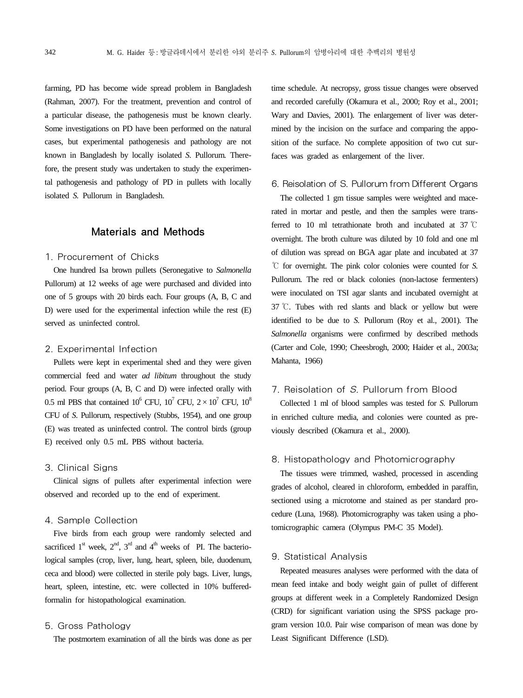farming, PD has become wide spread problem in Bangladesh (Rahman, 2007). For the treatment, prevention and control of a particular disease, the pathogenesis must be known clearly. Some investigations on PD have been performed on the natural cases, but experimental pathogenesis and pathology are not known in Bangladesh by locally isolated *S.* Pullorum*.* Therefore, the present study was undertaken to study the experimental pathogenesis and pathology of PD in pullets with locally isolated *S.* Pullorum in Bangladesh.

## Materials and Methods

### 1. Procurement of Chicks

One hundred Isa brown pullets (Seronegative to *Salmonella*  Pullorum) at 12 weeks of age were purchased and divided into one of 5 groups with 20 birds each. Four groups (A, B, C and D) were used for the experimental infection while the rest (E) served as uninfected control.

### 2. Experimental Infection

Pullets were kept in experimental shed and they were given commercial feed and water *ad libitum* throughout the study period. Four groups (A, B, C and D) were infected orally with 0.5 ml PBS that contained  $10^6$  CFU,  $10^7$  CFU,  $2 \times 10^7$  CFU,  $10^8$ CFU of *S*. Pullorum, respectively (Stubbs, 1954), and one group (E) was treated as uninfected control. The control birds (group E) received only 0.5 mL PBS without bacteria.

#### 3. Clinical Signs

Clinical signs of pullets after experimental infection were observed and recorded up to the end of experiment.

### 4. Sample Collection

Five birds from each group were randomly selected and sacrificed  $1^{\text{st}}$  week,  $2^{\text{nd}}$ ,  $3^{\text{rd}}$  and  $4^{\text{th}}$  weeks of PI. The bacteriological samples (crop, liver, lung, heart, spleen, bile, duodenum, ceca and blood) were collected in sterile poly bags. Liver, lungs, heart, spleen, intestine, etc. were collected in 10% bufferedformalin for histopathological examination.

#### 5. Gross Pathology

The postmortem examination of all the birds was done as per

time schedule. At necropsy, gross tissue changes were observed and recorded carefully (Okamura et al., 2000; Roy et al., 2001; Wary and Davies, 2001). The enlargement of liver was determined by the incision on the surface and comparing the apposition of the surface. No complete apposition of two cut surfaces was graded as enlargement of the liver.

### 6. Reisolation of S. Pullorum from Different Organs

The collected 1 gm tissue samples were weighted and macerated in mortar and pestle, and then the samples were transferred to 10 ml tetrathionate broth and incubated at 37 ℃ overnight. The broth culture was diluted by 10 fold and one ml of dilution was spread on BGA agar plate and incubated at 37 ℃ for overnight. The pink color colonies were counted for *S.*  Pullorum. The red or black colonies (non-lactose fermenters) were inoculated on TSI agar slants and incubated overnight at 37 ℃. Tubes with red slants and black or yellow but were identified to be due to *S.* Pullorum (Roy et al., 2001)*.* The *Salmonella* organisms were confirmed by described methods (Carter and Cole, 1990; Cheesbrogh, 2000; Haider et al., 2003a; Mahanta, 1966)

## 7. Reisolation of S. Pullorum from Blood

Collected 1 ml of blood samples was tested for *S.* Pullorum in enriched culture media, and colonies were counted as previously described (Okamura et al., 2000).

## 8. Histopathology and Photomicrography

The tissues were trimmed, washed, processed in ascending grades of alcohol, cleared in chloroform, embedded in paraffin, sectioned using a microtome and stained as per standard procedure (Luna, 1968). Photomicrography was taken using a photomicrographic camera (Olympus PM-C 35 Model).

#### 9. Statistical Analysis

Repeated measures analyses were performed with the data of mean feed intake and body weight gain of pullet of different groups at different week in a Completely Randomized Design (CRD) for significant variation using the SPSS package program version 10.0. Pair wise comparison of mean was done by Least Significant Difference (LSD).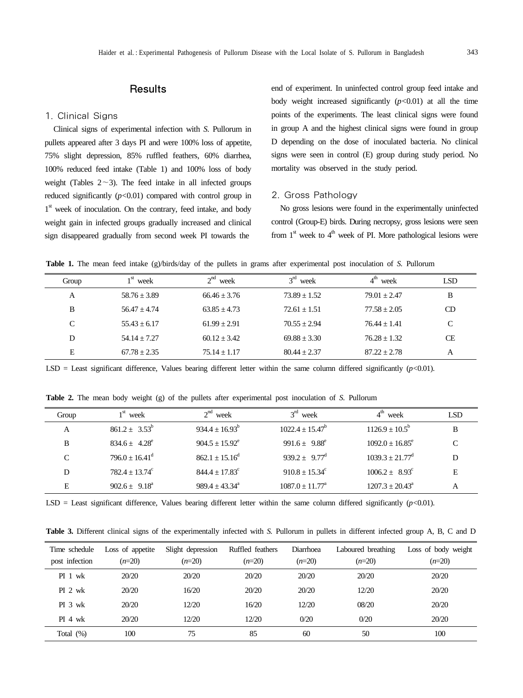# **Results**

#### 1. Clinical Signs

Clinical signs of experimental infection with *S*. Pullorum in pullets appeared after 3 days PI and were 100% loss of appetite, 75% slight depression, 85% ruffled feathers, 60% diarrhea, 100% reduced feed intake (Table 1) and 100% loss of body weight (Tables  $2 \sim 3$ ). The feed intake in all infected groups reduced significantly (*p<*0.01) compared with control group in 1<sup>st</sup> week of inoculation. On the contrary, feed intake, and body weight gain in infected groups gradually increased and clinical sign disappeared gradually from second week PI towards the

end of experiment. In uninfected control group feed intake and body weight increased significantly (*p<*0.01) at all the time points of the experiments. The least clinical signs were found in group A and the highest clinical signs were found in group D depending on the dose of inoculated bacteria. No clinical signs were seen in control (E) group during study period. No mortality was observed in the study period.

#### 2. Gross Pathology

No gross lesions were found in the experimentally uninfected control (Group-E) birds. During necropsy, gross lesions were seen from  $1<sup>st</sup>$  week to  $4<sup>th</sup>$  week of PI. More pathological lesions were

**Table 1.** The mean feed intake (g)/birds/day of the pullets in grams after experimental post inoculation of *S.* Pullorum

| Group | 1 <sup>st</sup><br>week | $2^{nd}$<br>week | $3^{rd}$<br>week | week           | LSD       |
|-------|-------------------------|------------------|------------------|----------------|-----------|
| А     | $58.76 + 3.89$          | $66.46 + 3.76$   | $73.89 + 1.52$   | $79.01 + 2.47$ | B         |
| B     | $56.47 + 4.74$          | $63.85 + 4.73$   | $72.61 + 1.51$   | $77.58 + 2.05$ | CD.       |
| C     | $55.43 + 6.17$          | $61.99 + 2.91$   | $70.55 + 2.94$   | $76.44 + 1.41$ | C         |
| D     | $54.14 + 7.27$          | $60.12 + 3.42$   | $69.88 + 3.30$   | $76.28 + 1.32$ | <b>CE</b> |
| Е     | $67.78 + 2.35$          | $75.14 + 1.17$   | $80.44 + 2.37$   | $87.22 + 2.78$ | А         |

LSD = Least significant difference, Values bearing different letter within the same column differed significantly  $(p<0.01)$ .

**Table 2.** The mean body weight (g) of the pullets after experimental post inoculation of *S.* Pullorum

| Group         | $1st$ week                   | $2nd$ week              | $3rd$ week                    | $4^{\text{th}}$ week       | <b>LSD</b> |
|---------------|------------------------------|-------------------------|-------------------------------|----------------------------|------------|
| A             | $861.2 + 3.53^b$             | $934.4 + 16.93^b$       | $1022.4 + 15.47^{\circ}$      | $1126.9 + 10.5^b$          | B          |
| B             | $834.6 \pm 4.28^e$           | $904.5 \pm 15.92^e$     | 991.6 $\pm$ 9.88 <sup>e</sup> | $1092.0 + 16.85^e$         |            |
| $\mathcal{C}$ | $796.0 + 16.41^{\mathrm{d}}$ | $862.1 + 15.16^d$       | $939.2 + 9.77^{\mathrm{d}}$   | $1039.3 \pm 21.77^{\rm d}$ |            |
|               | $782.4 + 13.74^{\circ}$      | $844.4 + 17.83^{\circ}$ | $910.8 + 15.34^{\circ}$       | $1006.2 + 8.93^{\circ}$    | E          |
| E             | $902.6 + 9.18^{\circ}$       | $989.4 + 43.34^{\circ}$ | $1087.0 + 11.77^{\text{a}}$   | $1207.3 + 20.43^{\circ}$   |            |

LSD = Least significant difference, Values bearing different letter within the same column differed significantly  $(p<0.01)$ .

**Table 3.** Different clinical signs of the experimentally infected with *S.* Pullorum in pullets in different infected group A, B, C and D

| Time schedule  | Loss of appetite | Slight depression | Ruffled feathers | Diarrhoea | Laboured breathing | Loss of body weight |
|----------------|------------------|-------------------|------------------|-----------|--------------------|---------------------|
| post infection | $(n=20)$         | $(n=20)$          | $(n=20)$         | $(n=20)$  | $(n=20)$           | $(n=20)$            |
| PI 1 wk        | 20/20            | 20/20             | 20/20            | 20/20     | 20/20              | 20/20               |
| $PI$ 2 wk      | 20/20            | 16/20             | 20/20            | 20/20     | 12/20              | 20/20               |
| $PI_3$ wk      | 20/20            | 12/20             | 16/20            | 12/20     | 08/20              | 20/20               |
| $PI$ 4 wk      | 20/20            | 12/20             | 12/20            | 0/20      | 0/20               | 20/20               |
| Total $(\%)$   | 100              | 75                | 85               | 60        | 50                 | 100                 |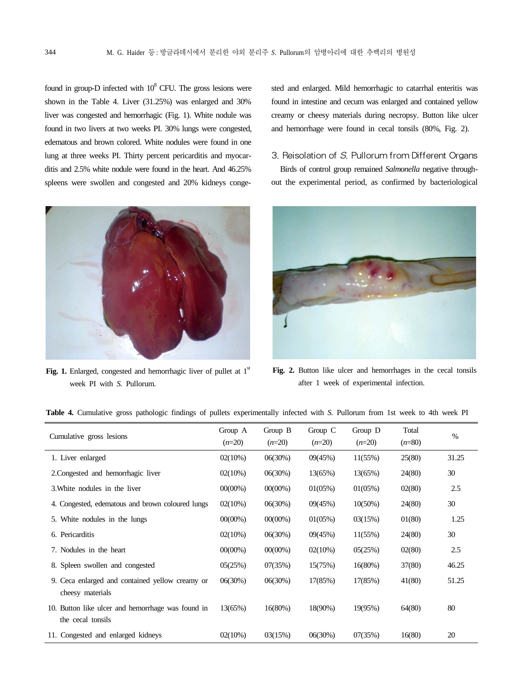found in group-D infected with  $10<sup>8</sup>$  CFU. The gross lesions were shown in the Table 4. Liver (31.25%) was enlarged and 30% liver was congested and hemorrhagic (Fig. 1). White nodule was found in two livers at two weeks PI. 30% lungs were congested, edematous and brown colored. White nodules were found in one lung at three weeks PI. Thirty percent pericarditis and myocarditis and 2.5% white nodule were found in the heart. And 46.25% spleens were swollen and congested and 20% kidneys conge-



Fig. 1. Enlarged, congested and hemorrhagic liver of pullet at 1<sup>st</sup> week PI with *S.* Pullorum.

sted and enlarged. Mild hemorrhagic to catarrhal enteritis was found in intestine and cecum was enlarged and contained yellow creamy or cheesy materials during necropsy. Button like ulcer and hemorrhage were found in cecal tonsils (80%, Fig. 2).

### 3. Reisolation of S. Pullorum from Different Organs

Birds of control group remained *Salmonella* negative throughout the experimental period, as confirmed by bacteriological



Fig. 2. Button like ulcer and hemorrhages in the cecal tonsils after 1 week of experimental infection.

| Cumulative gross lesions                                               | Group A<br>$(n=20)$ | Group B<br>$(n=20)$ | Group $C$<br>$(n=20)$ | Group D<br>$(n=20)$ | Total<br>$(n=80)$ | $\%$  |
|------------------------------------------------------------------------|---------------------|---------------------|-----------------------|---------------------|-------------------|-------|
| 1. Liver enlarged                                                      | 02(10%)             | 06(30%)             | 09(45%)               | 11(55%)             | 25(80)            | 31.25 |
| 2. Congested and hemorrhagic liver                                     | 02(10%)             | 06(30%)             | 13(65%)               | 13(65%)             | 24(80)            | 30    |
| 3. White nodules in the liver                                          | $00(00\%)$          | $00(00\%)$          | 01(05%)               | 01(05%)             | 02(80)            | 2.5   |
| 4. Congested, edematous and brown coloured lungs                       | 02(10%)             | 06(30%)             | 09(45%)               | $10(50\%)$          | 24(80)            | 30    |
| 5. White nodules in the lungs                                          | $00(00\%)$          | $00(00\%)$          | 01(05%)               | 03(15%)             | 01(80)            | 1.25  |
| 6. Pericarditis                                                        | 02(10%)             | 06(30%)             | 09(45%)               | 11(55%)             | 24(80)            | 30    |
| 7. Nodules in the heart                                                | $00(00\%)$          | $00(00\%)$          | 02(10%)               | 05(25%)             | 02(80)            | 2.5   |
| 8. Spleen swollen and congested                                        | 05(25%)             | 07(35%)             | 15(75%)               | 16(80%)             | 37(80)            | 46.25 |
| 9. Ceca enlarged and contained yellow creamy or<br>cheesy materials    | 06(30%)             | 06(30%)             | 17(85%)               | 17(85%)             | 41(80)            | 51.25 |
| 10. Button like ulcer and hemorrhage was found in<br>the cecal tonsils | 13(65%)             | 16(80%)             | 18(90%)               | 19(95%)             | 64(80)            | 80    |
| 11. Congested and enlarged kidneys                                     | 02(10%)             | 03(15%)             | 06(30%)               | 07(35%)             | 16(80)            | 20    |

**Table 4.** Cumulative gross pathologic findings of pullets experimentally infected with *S.* Pullorum from 1st week to 4th week PI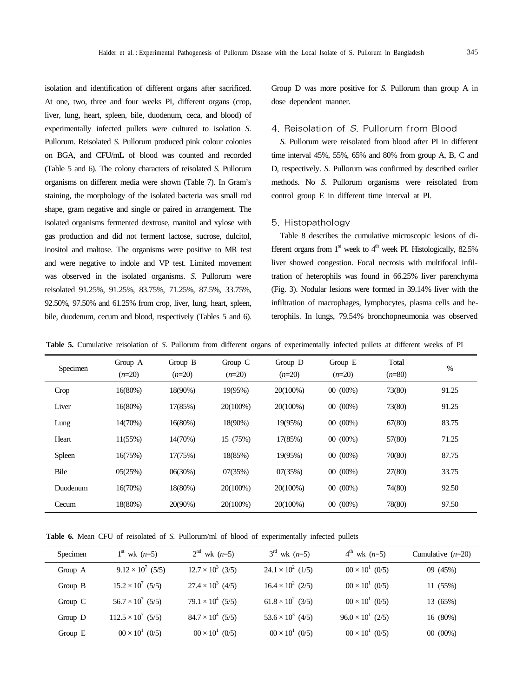isolation and identification of different organs after sacrificed. At one, two, three and four weeks PI, different organs (crop, liver, lung, heart, spleen, bile, duodenum, ceca, and blood) of experimentally infected pullets were cultured to isolation *S.*  Pullorum. Reisolated *S*. Pullorum produced pink colour colonies on BGA, and CFU/mL of blood was counted and recorded (Table 5 and 6). The colony characters of reisolated *S*. Pullorum organisms on different media were shown (Table 7). In Gram's staining, the morphology of the isolated bacteria was small rod shape, gram negative and single or paired in arrangement. The isolated organisms fermented dextrose, manitol and xylose with gas production and did not ferment lactose, sucrose, dulcitol, inositol and maltose. The organisms were positive to MR test and were negative to indole and VP test. Limited movement was observed in the isolated organisms. *S*. Pullorum were reisolated 91.25%, 91.25%, 83.75%, 71.25%, 87.5%, 33.75%, 92.50%, 97.50% and 61.25% from crop, liver, lung, heart, spleen, bile, duodenum, cecum and blood, respectively (Tables 5 and 6). Group D was more positive for *S.* Pullorum than group A in dose dependent manner.

### 4. Reisolation of S. Pullorum from Blood

*S*. Pullorum were reisolated from blood after PI in different time interval 45%, 55%, 65% and 80% from group A, B, C and D, respectively. *S*. Pullorum was confirmed by described earlier methods. No *S*. Pullorum organisms were reisolated from control group E in different time interval at PI.

#### 5. Histopathology

Table 8 describes the cumulative microscopic lesions of different organs from  $1<sup>st</sup>$  week to  $4<sup>th</sup>$  week PI. Histologically, 82.5% liver showed congestion. Focal necrosis with multifocal infiltration of heterophils was found in 66.25% liver parenchyma (Fig. 3). Nodular lesions were formed in 39.14% liver with the infiltration of macrophages, lymphocytes, plasma cells and heterophils. In lungs, 79.54% bronchopneumonia was observed

**Table 5.** Cumulative reisolation of *S*. Pullorum from different organs of experimentally infected pullets at different weeks of PI

| Specimen | Group A<br>$(n=20)$ | Group B<br>$(n=20)$ | Group $C$<br>$(n=20)$ | Group D<br>$(n=20)$ | Group E<br>$(n=20)$ | Total<br>$(n=80)$ | $\%$  |
|----------|---------------------|---------------------|-----------------------|---------------------|---------------------|-------------------|-------|
| Crop     | 16(80%)             | 18(90%)             | 19(95%)               | 20(100%)            | $00(00\%)$          | 73(80)            | 91.25 |
| Liver    | 16(80%)             | 17(85%)             | 20(100%)              | 20(100%)            | $00(00\%)$          | 73(80)            | 91.25 |
| Lung     | 14(70%)             | 16(80%)             | 18(90%)               | 19(95%)             | $00(00\%)$          | 67(80)            | 83.75 |
| Heart    | 11(55%)             | 14(70%)             | 15 (75%)              | 17(85%)             | $00(00\%)$          | 57(80)            | 71.25 |
| Spleen   | 16(75%)             | 17(75%)             | 18(85%)               | 19(95%)             | $00(00\%)$          | 70(80)            | 87.75 |
| Bile     | 05(25%)             | 06(30%)             | 07(35%)               | 07(35%)             | $00(00\%)$          | 27(80)            | 33.75 |
| Duodenum | 16(70%)             | 18(80%)             | 20(100%)              | 20(100%)            | $00(00\%)$          | 74(80)            | 92.50 |
| Cecum    | 18(80%)             | 20(90%)             | 20(100%)              | 20(100%)            | $00(00\%)$          | 78(80)            | 97.50 |

**Table 6.** Mean CFU of reisolated of *S.* Pullorum/ml of blood of experimentally infected pullets

| Specimen | $1^{st}$ wk $(n=5)$       | $2^{nd}$ wk $(n=5)$      | $3^{rd}$ wk $(n=5)$      | $4^{th}$ wk $(n=5)$        | Cumulative $(n=20)$ |
|----------|---------------------------|--------------------------|--------------------------|----------------------------|---------------------|
| Group A  | $9.12 \times 10^7$ (5/5)  | $12.7 \times 10^3$ (3/5) | $24.1 \times 10^2$ (1/5) | $0.0 \times 10^{1}$ (0/5)  | 09 (45%)            |
| Group B  | $15.2 \times 10^7$ (5/5)  | $27.4 \times 10^3$ (4/5) | $16.4 \times 10^2$ (2/5) | $00 \times 10^{1}$ (0/5)   | 11 (55%)            |
| Group C  | $56.7 \times 10^7$ (5/5)  | $79.1 \times 10^4$ (5/5) | $61.8 \times 10^2$ (3/5) | $0.0 \times 10^{1}$ (0/5)  | 13 (65%)            |
| Group D  | $112.5 \times 10^7$ (5/5) | $84.7 \times 10^4$ (5/5) | $53.6 \times 10^3$ (4/5) | $96.0 \times 10^{1}$ (2/5) | 16(80%)             |
| Group E  | $0.0 \times 10^{1}$ (0/5) | $00 \times 10^{1}$ (0/5) | $00 \times 10^{1}$ (0/5) | $00 \times 10^{1}$ (0/5)   | $00(00\%)$          |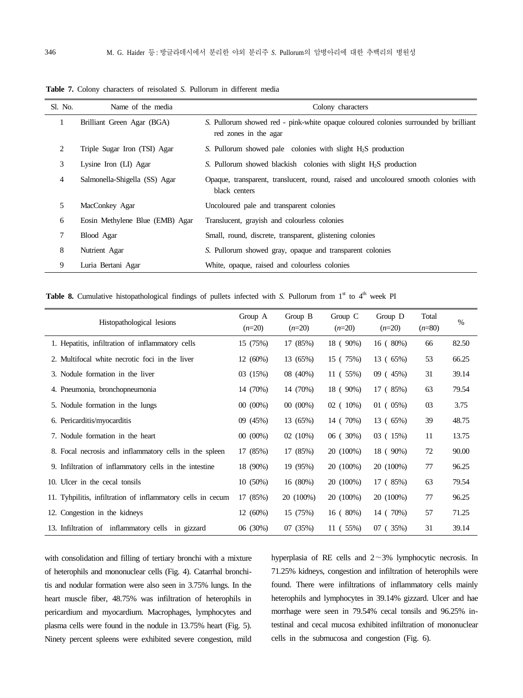| Sl. No. | Name of the media               | Colony characters                                                                                             |
|---------|---------------------------------|---------------------------------------------------------------------------------------------------------------|
| 1       | Brilliant Green Agar (BGA)      | S. Pullorum showed red - pink-white opaque coloured colonies surrounded by brilliant<br>red zones in the agar |
| 2       | Triple Sugar Iron (TSI) Agar    | S. Pullorum showed pale colonies with slight $H_2S$ production                                                |
| 3       | Lysine Iron (LI) Agar           | S. Pullorum showed blackish colonies with slight $H_2S$ production                                            |
| 4       | Salmonella-Shigella (SS) Agar   | Opaque, transparent, translucent, round, raised and uncoloured smooth colonies with<br>black centers          |
| 5       | MacConkey Agar                  | Uncoloured pale and transparent colonies                                                                      |
| 6       | Eosin Methylene Blue (EMB) Agar | Translucent, grayish and colourless colonies                                                                  |
| 7       | Blood Agar                      | Small, round, discrete, transparent, glistening colonies                                                      |
| 8       | Nutrient Agar                   | S. Pullorum showed gray, opaque and transparent colonies                                                      |
| 9       | Luria Bertani Agar              | White, opaque, raised and colourless colonies                                                                 |

**Table 7.** Colony characters of reisolated *S.* Pullorum in different media

**Table 8.** Cumulative histopathological findings of pullets infected with S. Pullorum from  $1<sup>st</sup>$  to  $4<sup>th</sup>$  week PI

| Histopathological lesions                                   | Group A<br>$(n=20)$ | Group $B$<br>$(n=20)$ | Group $C$<br>$(n=20)$ | Group D<br>$(n=20)$ | Total<br>$(n=80)$ | $\%$  |
|-------------------------------------------------------------|---------------------|-----------------------|-----------------------|---------------------|-------------------|-------|
| 1. Hepatitis, infiltration of inflammatory cells            | 15(75%)             | 17 (85%)              | 18 (90%)              | 16(80%)             | 66                | 82.50 |
| 2. Multifocal white necrotic foci in the liver              | 12(60%)             | 13 (65%)              | 15 (75%)              | 13 (65%)            | 53                | 66.25 |
| 3. Nodule formation in the liver                            | 03(15%)             | 08 (40%)              | 11(55%)               | 09(45%)             | 31                | 39.14 |
| 4. Pneumonia, bronchopneumonia                              | 14 (70%)            | 14 (70%)              | 18 (90%)              | 17 (85%)            | 63                | 79.54 |
| 5. Nodule formation in the lungs                            | $00(00\%)$          | $00(00\%)$            | $02(10\%)$            | 01(05%)             | 03                | 3.75  |
| 6. Pericarditis/myocarditis                                 | 09 (45%)            | 13 (65%)              | 14 (70%)              | 13 (65%)            | 39                | 48.75 |
| 7. Nodule formation in the heart                            | $00(00\%)$          | 02(10%)               | 06(30%)               | 03 (15%)            | 11                | 13.75 |
| 8. Focal necrosis and inflammatory cells in the spleen      | 17 (85%)            | 17 (85%)              | 20 (100%)             | 18 (90%)            | 72                | 90.00 |
| 9. Infiltration of inflammatory cells in the intestine      | 18 (90%)            | 19 (95%)              | 20 (100%)             | 20 (100%)           | 77                | 96.25 |
| 10. Ulcer in the cecal tonsils                              | 10(50%)             | 16 (80%)              | 20 (100%)             | 17 (85%)            | 63                | 79.54 |
| 11. Tyhpilitis, infiltration of inflammatory cells in cecum | 17 (85%)            | 20 (100%)             | 20 (100%)             | 20 (100%)           | 77                | 96.25 |
| 12. Congestion in the kidneys                               | 12(60%)             | 15 (75%)              | 16(80%)               | 14 (70%)            | 57                | 71.25 |
| 13. Infiltration of inflammatory cells in gizzard           | 06 (30%)            | 07(35%)               | 11 ( 55%)             | 07 (35%)            | 31                | 39.14 |

with consolidation and filling of tertiary bronchi with a mixture of heterophils and mononuclear cells (Fig. 4). Catarrhal bronchitis and nodular formation were also seen in 3.75% lungs. In the heart muscle fiber, 48.75% was infiltration of heterophils in pericardium and myocardium. Macrophages, lymphocytes and plasma cells were found in the nodule in 13.75% heart (Fig. 5). Ninety percent spleens were exhibited severe congestion, mild hyperplasia of RE cells and  $2 \sim 3\%$  lymphocytic necrosis. In 71.25% kidneys, congestion and infiltration of heterophils were found. There were infiltrations of inflammatory cells mainly heterophils and lymphocytes in 39.14% gizzard. Ulcer and hae morrhage were seen in 79.54% cecal tonsils and 96.25% intestinal and cecal mucosa exhibited infiltration of mononuclear cells in the submucosa and congestion (Fig. 6).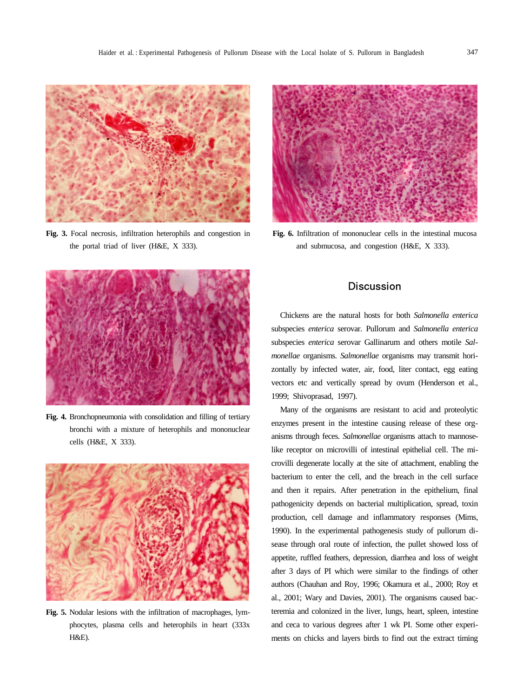

**Fig. 3.** Focal necrosis, infiltration heterophils and congestion in the portal triad of liver (H&E, X 333).



**Fig. 6.** Infiltration of mononuclear cells in the intestinal mucosa and submucosa, and congestion (H&E, X 333).



**Fig. 4.** Bronchopneumonia with consolidation and filling of tertiary bronchi with a mixture of heterophils and mononuclear cells (H&E, X 333).



**Fig. 5.** Nodular lesions with the infiltration of macrophages, lymphocytes, plasma cells and heterophils in heart (333x H&E).

# **Discussion**

Chickens are the natural hosts for both *Salmonella enterica* subspecies *enterica* serovar. Pullorum and *Salmonella enterica* subspecies *enterica* serovar Gallinarum and others motile *Salmonellae* organisms. *Salmonellae* organisms may transmit horizontally by infected water, air, food, liter contact, egg eating vectors etc and vertically spread by ovum (Henderson et al., 1999; Shivoprasad, 1997).

Many of the organisms are resistant to acid and proteolytic enzymes present in the intestine causing release of these organisms through feces. *Salmonellae* organisms attach to mannoselike receptor on microvilli of intestinal epithelial cell. The microvilli degenerate locally at the site of attachment, enabling the bacterium to enter the cell, and the breach in the cell surface and then it repairs. After penetration in the epithelium, final pathogenicity depends on bacterial multiplication, spread, toxin production, cell damage and inflammatory responses (Mims, 1990). In the experimental pathogenesis study of pullorum disease through oral route of infection, the pullet showed loss of appetite, ruffled feathers, depression, diarrhea and loss of weight after 3 days of PI which were similar to the findings of other authors (Chauhan and Roy, 1996; Okamura et al., 2000; Roy et al., 2001; Wary and Davies, 2001). The organisms caused bacteremia and colonized in the liver, lungs, heart, spleen, intestine and ceca to various degrees after 1 wk PI. Some other experiments on chicks and layers birds to find out the extract timing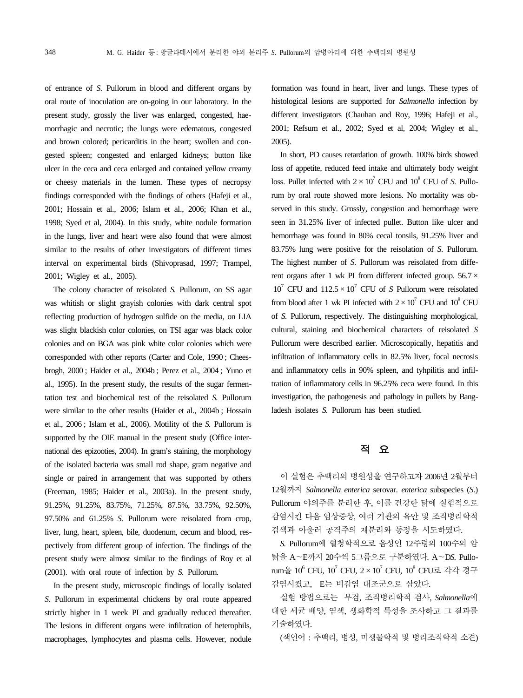of entrance of *S.* Pullorum in blood and different organs by oral route of inoculation are on-going in our laboratory. In the present study, grossly the liver was enlarged, congested, haemorrhagic and necrotic; the lungs were edematous, congested and brown colored; pericarditis in the heart; swollen and congested spleen; congested and enlarged kidneys; button like ulcer in the ceca and ceca enlarged and contained yellow creamy or cheesy materials in the lumen. These types of necropsy findings corresponded with the findings of others (Hafeji et al., 2001; Hossain et al., 2006; Islam et al., 2006; Khan et al., 1998; Syed et al, 2004). In this study, white nodule formation in the lungs, liver and heart were also found that were almost similar to the results of other investigators of different times interval on experimental birds (Shivoprasad, 1997; Trampel, 2001; Wigley et al., 2005).

The colony character of reisolated *S.* Pullorum, on SS agar was whitish or slight grayish colonies with dark central spot reflecting production of hydrogen sulfide on the media, on LIA was slight blackish color colonies, on TSI agar was black color colonies and on BGA was pink white color colonies which were corresponded with other reports (Carter and Cole, 1990 ; Cheesbrogh, 2000 ; Haider et al., 2004b ; Perez et al., 2004 ; Yuno et al., 1995). In the present study, the results of the sugar fermentation test and biochemical test of the reisolated *S.* Pullorum were similar to the other results (Haider et al., 2004b ; Hossain et al., 2006 ; Islam et al., 2006). Motility of the *S.* Pullorum is supported by the OIE manual in the present study (Office international des epizooties, 2004). In gram's staining, the morphology of the isolated bacteria was small rod shape, gram negative and single or paired in arrangement that was supported by others (Freeman, 1985; Haider et al., 2003a). In the present study, 91.25%, 91.25%, 83.75%, 71.25%, 87.5%, 33.75%, 92.50%, 97.50% and 61.25% *S.* Pullorum were reisolated from crop, liver, lung, heart, spleen, bile, duodenum, cecum and blood, respectively from different group of infection. The findings of the present study were almost similar to the findings of Roy et al (2001). with oral route of infection by *S.* Pullorum.

In the present study, microscopic findings of locally isolated *S.* Pullorum in experimental chickens by oral route appeared strictly higher in 1 week PI and gradually reduced thereafter. The lesions in different organs were infiltration of heterophils, macrophages, lymphocytes and plasma cells. However, nodule formation was found in heart, liver and lungs. These types of histological lesions are supported for *Salmonella* infection by different investigators (Chauhan and Roy, 1996; Hafeji et al., 2001; Refsum et al., 2002; Syed et al, 2004; Wigley et al., 2005).

In short, PD causes retardation of growth. 100% birds showed loss of appetite, reduced feed intake and ultimately body weight loss. Pullet infected with  $2 \times 10^7$  CFU and  $10^8$  CFU of *S*. Pullorum by oral route showed more lesions. No mortality was observed in this study. Grossly, congestion and hemorrhage were seen in 31.25% liver of infected pullet. Button like ulcer and hemorrhage was found in 80% cecal tonsils, 91.25% liver and 83.75% lung were positive for the reisolation of *S.* Pullorum. The highest number of *S.* Pullorum was reisolated from different organs after 1 wk PI from different infected group.  $56.7 \times$  $10^7$  CFU and  $112.5 \times 10^7$  CFU of *S* Pullorum were reisolated from blood after 1 wk PI infected with  $2 \times 10^7$  CFU and  $10^8$  CFU of *S.* Pullorum, respectively. The distinguishing morphological, cultural, staining and biochemical characters of reisolated *S* Pullorum were described earlier. Microscopically, hepatitis and infiltration of inflammatory cells in 82.5% liver, focal necrosis and inflammatory cells in 90% spleen, and tyhpilitis and infiltration of inflammatory cells in 96.25% ceca were found. In this investigation, the pathogenesis and pathology in pullets by Bangladesh isolates *S.* Pullorum has been studied.

# 적 요

이 실험은 추백리의 병원성을 연구하고자 2006년 2월부터 12월까지 *Salmonella enterica* serovar. *enterica* subspecies (*S*.) Pullorum 야외주를 분리한 후, 이를 건강한 닭에 실험적으로 감염시킨 다음 임상증상, 여러 기관의 육안 및 조직병리학적 검색과 아울러 공격주의 재분리와 동정을 시도하였다.

*S.* Pullorum에 혈청학적으로 음성인 12주령의 100수의 암 탉을 A~E까지 20수씩 5그룹으로 구분하였다. A~D*S.* Pullo- $\text{rum}$ 을 10<sup>6</sup> CFU, 10<sup>7</sup> CFU, 2 × 10<sup>7</sup> CFU, 10<sup>8</sup> CFU로 각각 경구 감염시켰고, E는 비감염 대조군으로 삼았다.

실험 방법으로는 부검, 조직병리학적 검사, *Salmonella*에 대한 세균 배양, 염색, 생화학적 특성을 조사하고 그 결과를 기술하였다.

(색인어 : 추백리, 병성, 미생물학적 및 병리조직학적 소견)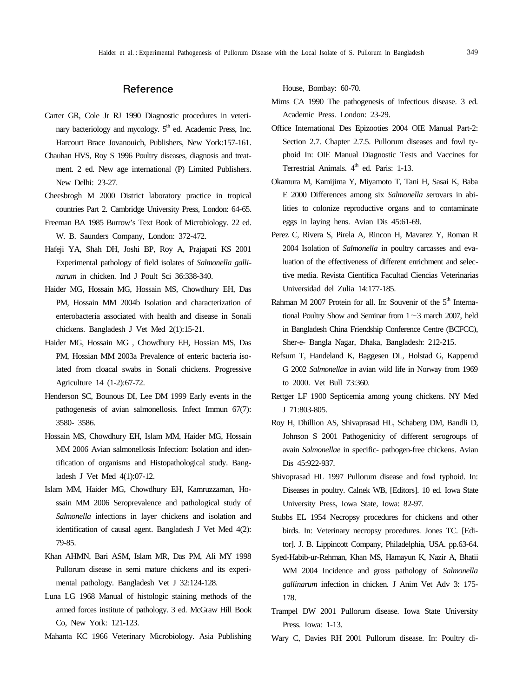# Reference

- Carter GR, Cole Jr RJ 1990 Diagnostic procedures in veterinary bacteriology and mycology.  $5<sup>th</sup>$  ed. Academic Press, Inc. Harcourt Brace Jovanouich, Publishers, New York:157-161.
- Chauhan HVS, Roy S 1996 Poultry diseases, diagnosis and treatment. 2 ed. New age international (P) Limited Publishers. New Delhi: 23-27.
- Cheesbrogh M 2000 District laboratory practice in tropical countries Part 2. Cambridge University Press, London: 64-65.
- Freeman BA 1985 Burrow's Text Book of Microbiology. 22 ed. W. B. Saunders Company, London: 372-472.
- Hafeji YA, Shah DH, Joshi BP, Roy A, Prajapati KS 2001 Experimental pathology of field isolates of *Salmonella gallinarum* in chicken. Ind J Poult Sci 36:338-340.
- Haider MG, Hossain MG, Hossain MS, Chowdhury EH, Das PM, Hossain MM 2004b Isolation and characterization of enterobacteria associated with health and disease in Sonali chickens. Bangladesh J Vet Med 2(1):15-21.
- Haider MG, Hossain MG , Chowdhury EH, Hossian MS, Das PM, Hossian MM 2003a Prevalence of enteric bacteria isolated from cloacal swabs in Sonali chickens. Progressive Agriculture 14 (1-2):67-72.
- Henderson SC, Bounous DI, Lee DM 1999 Early events in the pathogenesis of avian salmonellosis. Infect Immun 67(7): 3580- 3586.
- Hossain MS, Chowdhury EH, Islam MM, Haider MG, Hossain MM 2006 Avian salmonellosis Infection: Isolation and identification of organisms and Histopathological study. Bangladesh J Vet Med 4(1):07-12.
- Islam MM, Haider MG, Chowdhury EH, Kamruzzaman, Hossain MM 2006 Seroprevalence and pathological study of *Salmonella* infections in layer chickens and isolation and identification of causal agent. Bangladesh J Vet Med 4(2): 79-85.
- Khan AHMN, Bari ASM, Islam MR, Das PM, Ali MY 1998 Pullorum disease in semi mature chickens and its experimental pathology. Bangladesh Vet J 32:124-128.
- Luna LG 1968 Manual of histologic staining methods of the armed forces institute of pathology. 3 ed. McGraw Hill Book Co, New York: 121-123.
- Mahanta KC 1966 Veterinary Microbiology. Asia Publishing

House, Bombay: 60-70.

- Mims CA 1990 The pathogenesis of infectious disease. 3 ed. Academic Press. London: 23-29.
- Office International Des Epizooties 2004 OIE Manual Part-2: Section 2.7. Chapter 2.7.5. Pullorum diseases and fowl typhoid In: OIE Manual Diagnostic Tests and Vaccines for Terrestrial Animals. 4<sup>th</sup> ed. Paris: 1-13.
- Okamura M, Kamijima Y, Miyamoto T, Tani H, Sasai K, Baba E 2000 Differences among six *Salmonella s*erovars in abilities to colonize reproductive organs and to contaminate eggs in laying hens. Avian Dis 45:61-69.
- Perez C, Rivera S, Pirela A, Rincon H, Mavarez Y, Roman R 2004 Isolation of *Salmonella* in poultry carcasses and evaluation of the effectiveness of different enrichment and selective media. Revista Cientifica Facultad Ciencias Veterinarias Universidad del Zulia 14:177-185.
- Rahman M 2007 Protein for all. In: Souvenir of the  $5<sup>th</sup>$  International Poultry Show and Seminar from  $1 \sim 3$  march 2007, held in Bangladesh China Friendship Conference Centre (BCFCC), Sher-e- Bangla Nagar, Dhaka, Bangladesh: 212-215.
- Refsum T, Handeland K, Baggesen DL, Holstad G, Kapperud G 2002 *Salmonellae* in avian wild life in Norway from 1969 to 2000. Vet Bull 73:360.
- Rettger LF 1900 Septicemia among young chickens. NY Med J 71:803-805.
- Roy H, Dhillion AS, Shivaprasad HL, Schaberg DM, Bandli D, Johnson S 2001 Pathogenicity of different serogroups of avain *Salmonellae* in specific- pathogen-free chickens. Avian Dis 45:922-937.
- Shivoprasad HL 1997 Pullorum disease and fowl typhoid. In: Diseases in poultry. Calnek WB, [Editors]. 10 ed. Iowa State University Press, Iowa State, Iowa: 82-97.
- Stubbs EL 1954 Necropsy procedures for chickens and other birds. In: Veterinary necropsy procedures*.* Jones TC. [Editor]. J. B. Lippincott Company, Philadelphia, USA. pp.63-64.
- Syed-Habib-ur-Rehman, Khan MS, Hamayun K, Nazir A, Bhatii WM 2004 Incidence and gross pathology of *Salmonella gallinarum* infection in chicken. J Anim Vet Adv 3: 175- 178.
- Trampel DW 2001 Pullorum disease. Iowa State University Press. Iowa: 1-13.
- Wary C, Davies RH 2001 Pullorum disease. In: Poultry di-